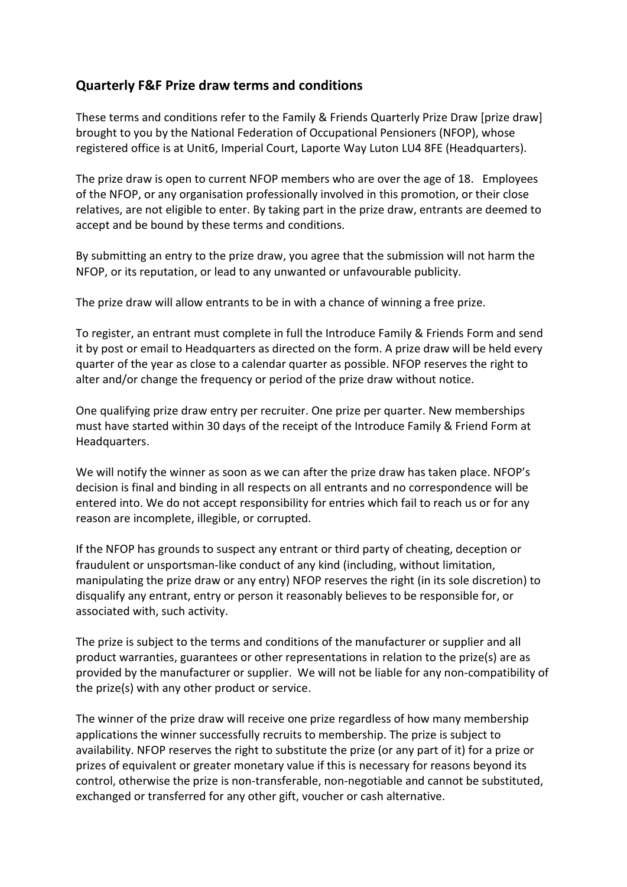## **Quarterly F&F Prize draw terms and conditions**

These terms and conditions refer to the Family & Friends Quarterly Prize Draw [prize draw] brought to you by the National Federation of Occupational Pensioners (NFOP), whose registered office is at Unit6, Imperial Court, Laporte Way Luton LU4 8FE (Headquarters).

The prize draw is open to current NFOP members who are over the age of 18. Employees of the NFOP, or any organisation professionally involved in this promotion, or their close relatives, are not eligible to enter. By taking part in the prize draw, entrants are deemed to accept and be bound by these terms and conditions.

By submitting an entry to the prize draw, you agree that the submission will not harm the NFOP, or its reputation, or lead to any unwanted or unfavourable publicity.

The prize draw will allow entrants to be in with a chance of winning a free prize.

To register, an entrant must complete in full the Introduce Family & Friends Form and send it by post or email to Headquarters as directed on the form. A prize draw will be held every quarter of the year as close to a calendar quarter as possible. NFOP reserves the right to alter and/or change the frequency or period of the prize draw without notice.

One qualifying prize draw entry per recruiter. One prize per quarter. New memberships must have started within 30 days of the receipt of the Introduce Family & Friend Form at Headquarters.

We will notify the winner as soon as we can after the prize draw has taken place. NFOP's decision is final and binding in all respects on all entrants and no correspondence will be entered into. We do not accept responsibility for entries which fail to reach us or for any reason are incomplete, illegible, or corrupted.

If the NFOP has grounds to suspect any entrant or third party of cheating, deception or fraudulent or unsportsman-like conduct of any kind (including, without limitation, manipulating the prize draw or any entry) NFOP reserves the right (in its sole discretion) to disqualify any entrant, entry or person it reasonably believes to be responsible for, or associated with, such activity.

The prize is subject to the terms and conditions of the manufacturer or supplier and all product warranties, guarantees or other representations in relation to the prize(s) are as provided by the manufacturer or supplier. We will not be liable for any non-compatibility of the prize(s) with any other product or service.

The winner of the prize draw will receive one prize regardless of how many membership applications the winner successfully recruits to membership. The prize is subject to availability. NFOP reserves the right to substitute the prize (or any part of it) for a prize or prizes of equivalent or greater monetary value if this is necessary for reasons beyond its control, otherwise the prize is non-transferable, non-negotiable and cannot be substituted, exchanged or transferred for any other gift, voucher or cash alternative.